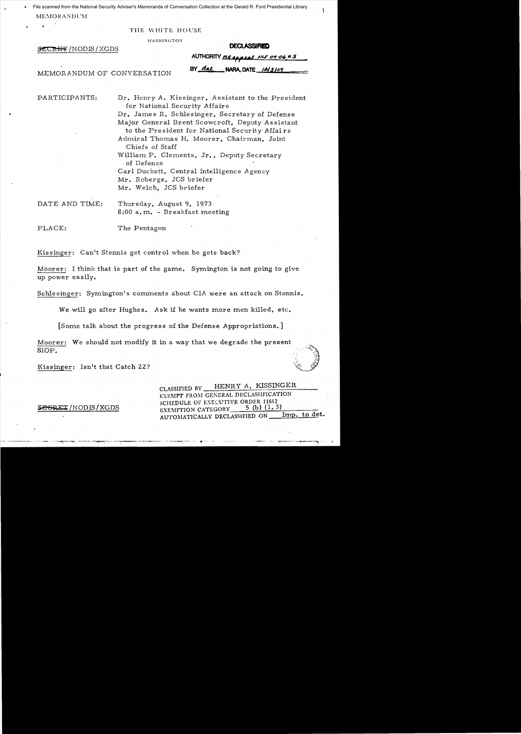File scanned from the National Security Adviser's Memoranda of Conversation Collection at the Gerald R. Ford Presidential Library MEMORANDUM

THE WHITE HOUSE

**WASHINGTON** 

# **SECRET/NODIS/XGDS**

#### **DECLASSIFIED**

NARA, DATE 12/3/09

|        | AUTHORITY MR appeal NLF 04-06#3 |  |
|--------|---------------------------------|--|
|        |                                 |  |
| BY dal | NARA DATE $12/3109$             |  |

MEMORANDUM OF CONVERSATION

PARTICIPANTS:

Dr. Henry A. Kissinger, Assistant to the President for National Security Affairs Dr. James R. Schlesinger, Secretary of Defense Major General Brent Scowcroft, Deputy Assistant to the President for National Security Affairs Admiral Thomas H. Moorer, Chairman, Joint Chiefs of Staff William P. Clements, Jr., Deputy Secretary of Defense Carl Duckett, Central Intelligence Agency Mr. Roberge, JCS briefer Mr. Welch, JCS briefer

DATE AND TIME: Thursday, August 9, 1973 8:00 a.m. - Breakfast meeting

PLACE: The Pentagon

Kissinger: Can't Stennis get control when he gets back?

Moorer: I think that is part of the game. Symington is not going to give up power easily.

Schlesinger: Symington's comments about CIA were an attack on Stennis.

We will go after Hughes. Ask if he wants more men killed, etc.

[Some talk about the progress of the Defense Appropriations.]

Moorer: We should not modify it in a way that we degrade the present SIOP.

Kissinger: Isn't that Catch 22?

HENRY A. KISSINGER CLASSIFIED BY EXEMPT FROM GENERAL DECLASSIFICATION SCHEDULE OF EXECUTIVE ORDER 11652 5 (b)  $(1, 3)$ EXEMPTION CATEGORY Imp. to det. AUTOMATICALLY DECLASSIFIED ON \_

**EGRET /NODIS / XGDS**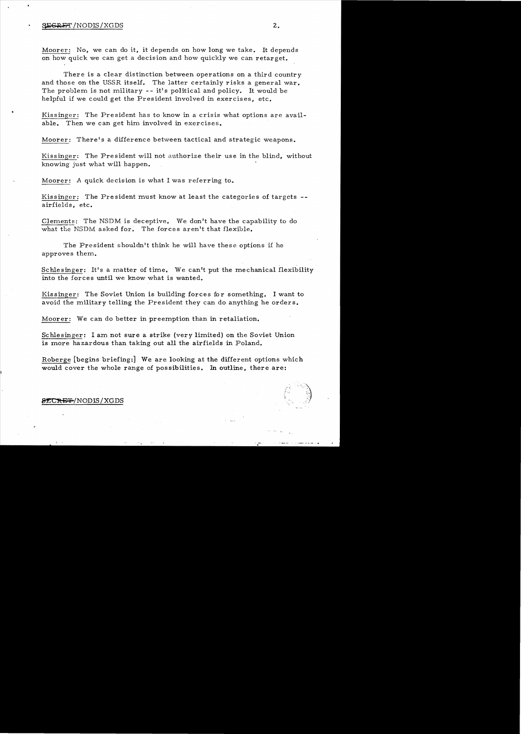#### $\frac{1}{2}$   $\frac{1}{2}$   $\frac{1}{2}$   $\frac{1}{2}$   $\frac{1}{2}$   $\frac{1}{2}$   $\frac{1}{2}$   $\frac{1}{2}$   $\frac{1}{2}$   $\frac{1}{2}$   $\frac{1}{2}$   $\frac{1}{2}$   $\frac{1}{2}$   $\frac{1}{2}$   $\frac{1}{2}$   $\frac{1}{2}$   $\frac{1}{2}$   $\frac{1}{2}$   $\frac{1}{2}$   $\frac{1}{2}$   $\frac{1}{2}$   $\frac{1}{2}$

Moorer: No, we can do it, it depends on how long we take. It depends on how quick we can get a decision and how quickly we can retarget.

There is a clear distinction between operations on a third country and those on the USSR itself. The latter certainly risks a general war. The problem is not military -- it's political and policy. It would be helpful if we could get the President involved in exercises, etc.

Kissinger: The President has to know in a crisis what options are available. Then we can get him involved in exercises.

Moorer: There's a difference between tactical and strategic weapons.

Kissinger: The President will not authorize their use in the blind, without knowing just what will happen.

Moorer: A quick decision is what I was referring to.

Kissinger: The President must know at least the categories of targets -airfields, etc.

Clements: The NSDM is deceptive. We don't have the capability to do what the NSDM asked for. The forces aren't that flexible.

The President shouldn't think he will have these options if he approves them.

Schlesinger: It's a matter of time. We can't put the mechanical flexibility into the forces until we know what is wanted.

Kissinger: The Soviet Union is building forces for something. I want to avoid the military telling the President they can do anything he orders.

Moorer: We can do better in preemption than in retaliation.

Schlesinger: I am not sure a strike (very limited) on the Soviet Union is more hazardous than taking out all the airfields in Poland.

Roberge [begins briefing:] We are looking at the different options which would cover the whole range of possibilities. In outline, there are:

## 8ECRET/NODIS/XGDS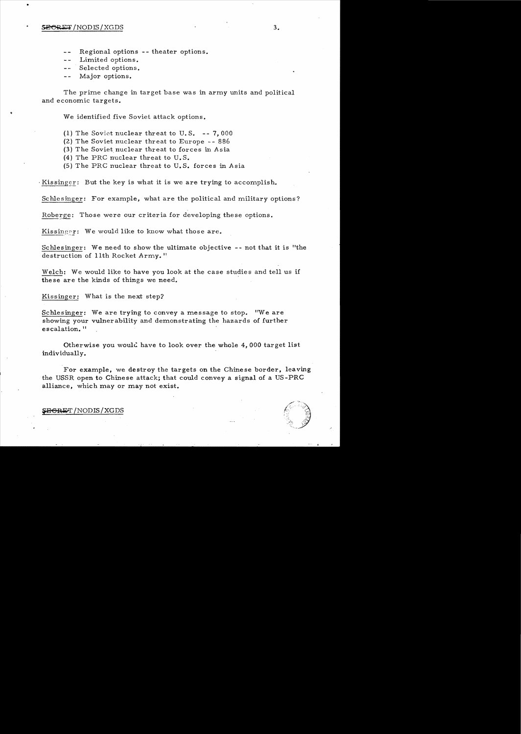### $SE$ CRET / NODIS / XGDS 3.

•

- Regional options -- theater options.  $- -$
- Limited options.
- المساعد Selected options.
- Major options.  $\sim$   $\sim$

The prime change in target base was in army units and political and economic targets.

We identified five Soviet attack options.

- (1) The Soviet nuclear threat to U.S.  $-$ -7,000
- (2) The Soviet nuclear threat to Europe 886
- (3) The Soviet nuclear threat to forces in Asia
- (4) The PRC nuclear threat to U. S.
- $(5)$  The PRC nuclear threat to U.S. forces in Asia

Kissinger: But the key is what it is we are trying to accomplish.

Schlesinger: For example, what are the political and military options?

Roberge: Those were our criteria for developing these options.

Kissinger: We would like to know what those are.

Schlesinger: We need to show the ultimate objective -- not that it is "the destruction of 11th Rocket Army."

Welch: We would like to have you look at the case studies and tell us if these are the kinds of things we need.

Kissinger: What is the next step?

Schlesinger: We are trying to convey a message to stop. "We are showing your vulnerability and demonstrating the hazards of further escalation.<sup>11</sup>

Otherwise you would have to look over the whole 4,000 target list individually.

For example, we destroy the targets on the Chinese border, leaving the USSR open to Chinese attack; that could convey a signal of a US-PRC alliance, which may or may not exist.

## **FBGRET /NODIS / XGDS**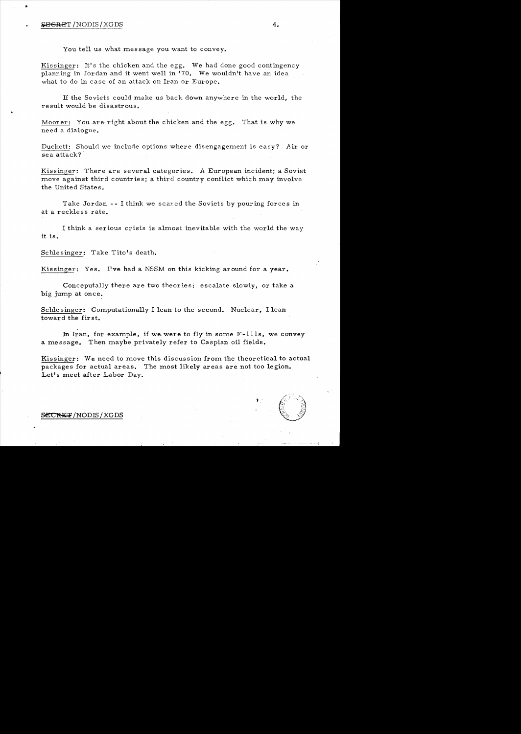### ~H:EIT /NODIS/XGDS **4.**

You tell us what message you want to convey.

Kissinger: It's the chicken and the egg. We had done good contingency planning in Jordan and it went well in '70. We wouldn't have an idea what to do in case of an attack on Iran or Europe.

If the Soviets could make us back down anywhere in the world, the result would be disastrous.

Moorer: You are right about the chicken and the egg. That is why we need a dialogue.

Duckett: Should we include options where disengagement is easy? Air or sea attack?

Kissinger: There are several categories. A European incident; a Soviet move against third countries; a third country conflict which may involve the United States.

Take Jordan -- I think we scared the Soviets by pouring forces in at a reckless rate.

I think a serious crisis is almost inevitable with the world the way it is.

Schlesinger: Take Tito's death.

Kissinger: Yes. I've had a NSSM on this kicking around for a year.

Conceputally there are two theories: escalate slowly, or take a big jump at once.

Schle singer: Computationally I lean to the second. Nuclear, I lean toward the first.

In Iran, for example, if we were to fly in some  $F-111s$ , we convey a message. Then maybe privately refer to Caspian oil fields.

Kissinger: We need to move this discussion from the theoretical to actual packages for actual areas. The most likely areas are not too legion. Let's meet after Labor Day.

S<del>CCRET</del>/NODIS/XGDS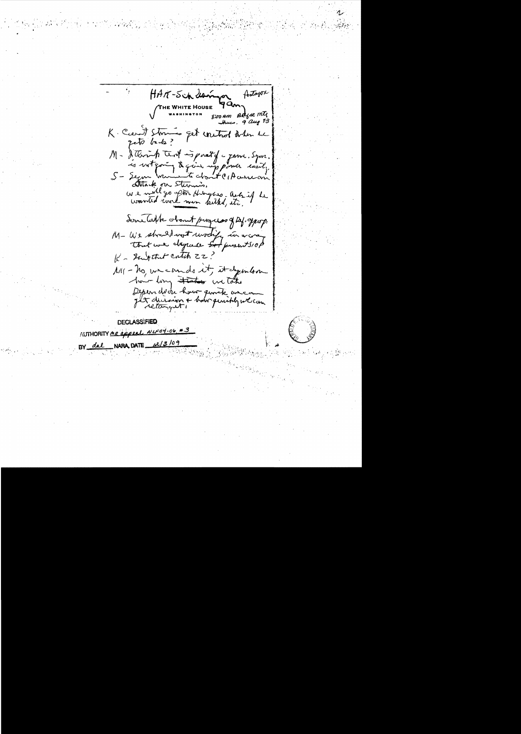festagox HAR-Schlamon 4an **HE WHITE HOUSE** worn BRist mIg  $9 \, \mu$   $13$ K. Carit Storms get writing when he reto bads? M - Stevant tent is past of a game. Sym. is writtening to give up power easily.  $S-$  Secure Attack on Sternis,<br>We will go after Hingers, acts if he Some Takk about progress of Def. approp. M- We should not wodify in a cra that we dayment sof justits of K- Subthit catch 22? MI - no, we cando it, it dymbon how long that we take Depended how given avecant

**DECLASSIFIED** AUTHORITY MR appeal NUFO4-06 #3 NARA, DATE  $12/3/09$ dal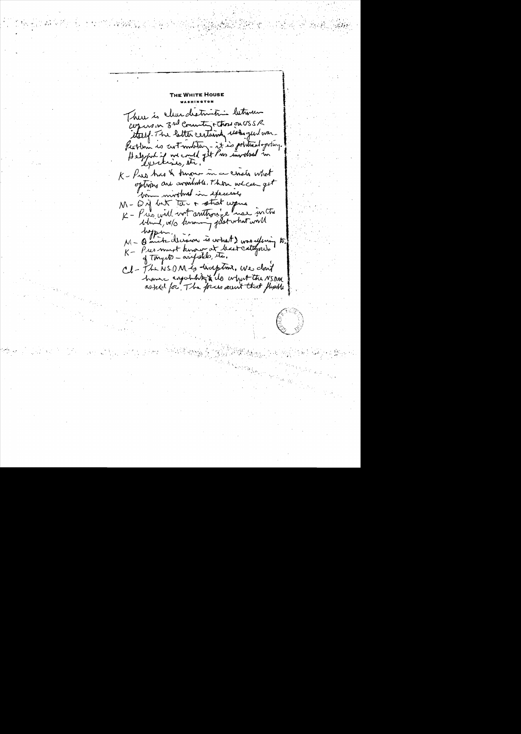Nніте Hous There is clear destruction between copies on 3rd county that on USSR itself. The letter certainly use qui war. Peoplem is cut motor - it is political potery. Helpful is we could get Puis involved in K - Pres has & human in a censis what options are avoidable. There we can get bim wird with the exercises M - Dif but too + strat upus K - Pris will wrt anthony e was in the bland, w/s knowing just what will hopen NI- Quick decision is what I was ufining to. K - Pres must know at but cattepres of tonyate - arifided, etc. Cd-FlerisOM is haptom. We don't have espatatifiedo what the NSDAR assied for, The focus own't that think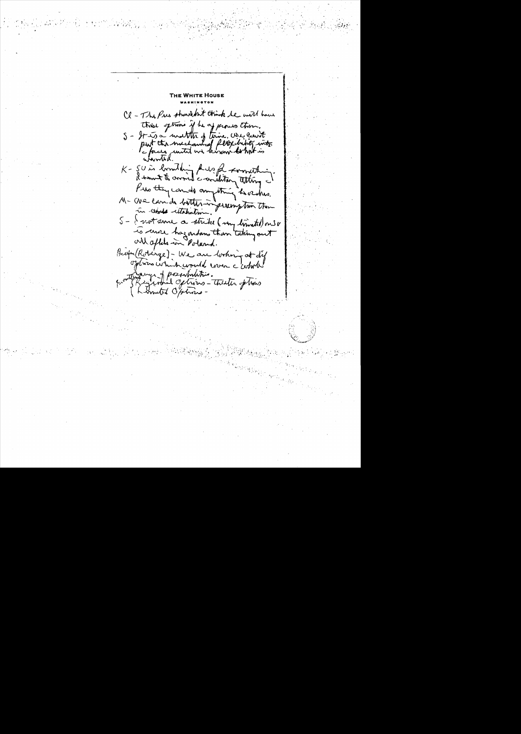**WHITE HOUS** Cl - The Pres strund but think he will have this setimes if he of proves them. S - It is a matter of time. When count K - SU is locality help for worlding. Pro they cando anything herehrs. M- We can de better ingreempton them 5 - I not sure a strike ( my limited) one v is coure hazardans than taking out But (Robinge) - We are looking at dif options which would were c comb! though of posibilities.<br>Regional options - theater of tras Limited Options -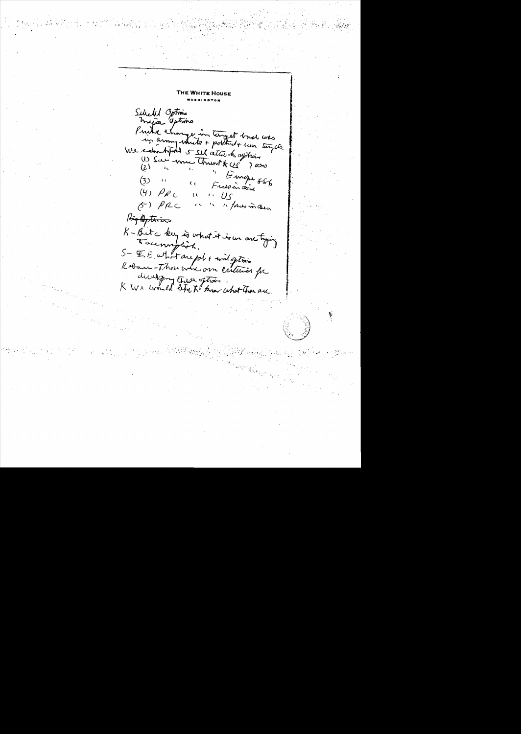**WHITE HOUSE** Selected Options myra sptins Prince change in tempet basel was We combined & sel atte to offhing (1) San mu Thront x cy ? sono  $(2)$ "Europe ES6<br>Freesingers  $(3)$  $\ell$  (  $C_{\ell}$  $(4)$   $\rho_{RC}$  $\sqrt{10}$  $\iota$  $59\rho\rho$ " fores in aux Registrian K-Bitchey is what it is we are tying Rebace-Thou whe om cultures for direction these oftens . "<br>K We would left to know what there are.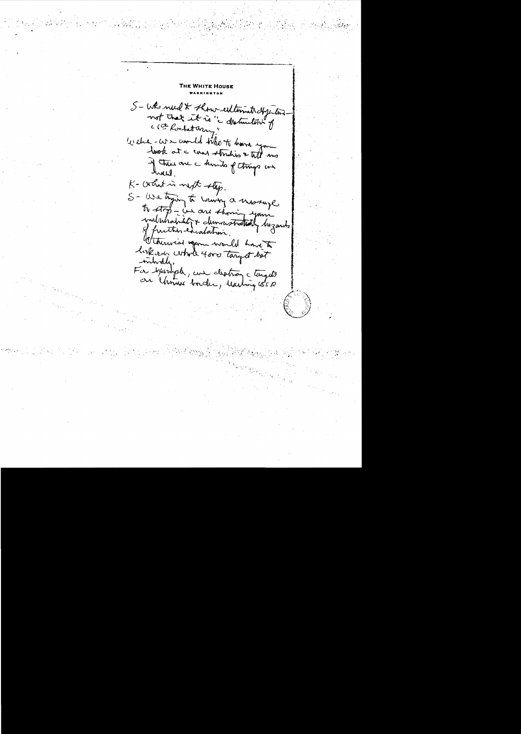**E WHITE HOUSE** S-WR need & thour estimate dyptome not that it is " distinction" of ( C Rochetary Welch - We would the to have you look at a comer stricties & Will and if there are a kinds of things are hverd. K- certhat is next step. S- We typing to vouring a missage to stop - un are showing your of furthis excalation 10 look over whole 4000 target bot For beningth, une destroy ctempts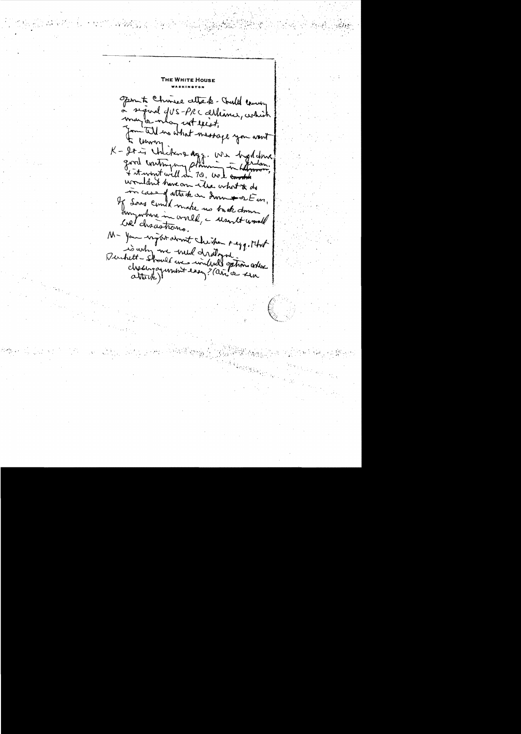**E WHITE HOUSE** Sport Churee attack- Chall coming a signal JUS-PRC althance, which may or may not exist. Formitell we what massage you want K - It is Unickens dags. We byddome wondon't have on the what it do in case of attack on down to DE un, If Sons could make no back down own motors in world, a want would cre/ chacastrons. M- You ingthe domet checken seggesthat Duchett-should avec will draly this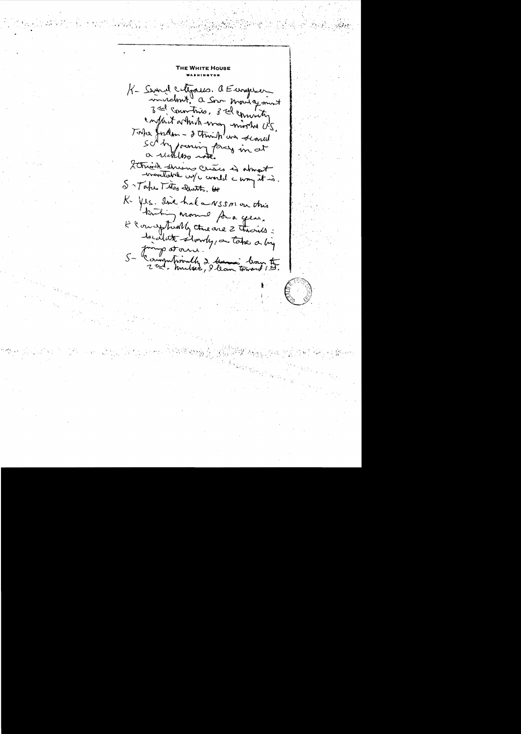Nніте Hol K- Service Coligario. a European invident a Son moving mont 3 rd countries, 3 rd commits, Todke fordom - I think on scored sorty forming pray in at a reckless note. Sttruit suiva crères à about S - Take This Death, or K Yes. Ine hal a NSSNOn this K Conceptually threase 2 Through : localite slowly, on take a big 5 - Longwhould 2 Hours - 1<br>5 - Computionly 2 Hours - 10am to